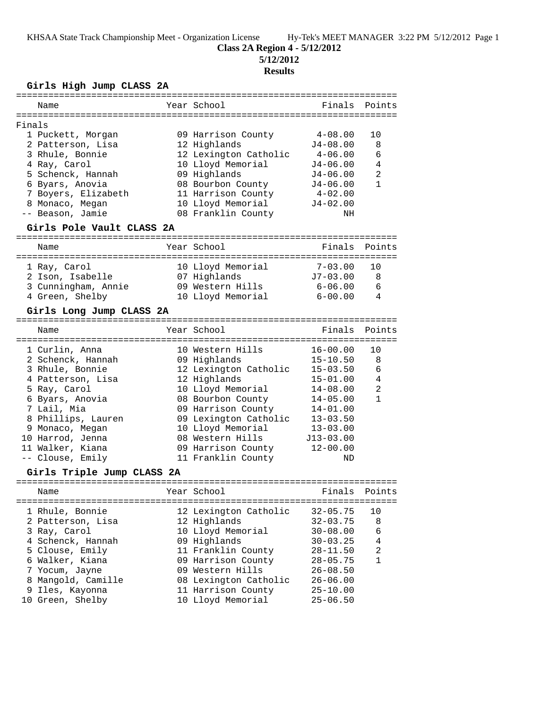KHSAA State Track Championship Meet - Organization License Hy-Tek's MEET MANAGER 3:22 PM 5/12/2012 Page 1

## **Class 2A Region 4 - 5/12/2012**

**5/12/2012**

#### **Results**

#### **Girls High Jump CLASS 2A**

|        | Name                                 | Year School                           | Finals                       | Points         |
|--------|--------------------------------------|---------------------------------------|------------------------------|----------------|
| Finals |                                      |                                       |                              |                |
|        | 1 Puckett, Morgan                    | 09 Harrison County                    | $4 - 08.00$                  | 10             |
|        | 2 Patterson, Lisa                    | 12 Highlands                          | $J4 - 08.00$                 | 8              |
|        | 3 Rhule, Bonnie                      | 12 Lexington Catholic                 | $4 - 06.00$                  | 6              |
|        | 4 Ray, Carol                         | 10 Lloyd Memorial                     | $J4 - 06.00$                 | 4              |
|        | 5 Schenck, Hannah                    | 09 Highlands                          | J4-06.00                     | $\overline{a}$ |
|        | 6 Byars, Anovia                      | 08 Bourbon County                     | $J4 - 06.00$                 | $\mathbf{1}$   |
|        | 7 Boyers, Elizabeth                  | 11 Harrison County                    | $4 - 02.00$                  |                |
|        | 8 Monaco, Megan                      | 10 Lloyd Memorial                     | $J4 - 02.00$                 |                |
|        | -- Beason, Jamie                     | 08 Franklin County                    | ΝH                           |                |
|        | Girls Pole Vault CLASS 2A            |                                       |                              |                |
|        | Name                                 | Year School                           | Finals                       | Points         |
|        |                                      |                                       | $7 - 03.00$                  | 10             |
|        | 1 Ray, Carol                         | 10 Lloyd Memorial                     | $J7 - 03.00$                 | 8              |
|        | 2 Ison, Isabelle                     | 07 Highlands                          | $6 - 06.00$                  |                |
|        | 3 Cunningham, Annie                  | 09 Western Hills                      |                              | 6              |
|        | 4 Green, Shelby                      | 10 Lloyd Memorial                     | $6 - 00.00$                  | 4              |
|        | Girls Long Jump CLASS 2A             |                                       |                              |                |
|        | Name                                 | Year School                           | Finals                       | Points         |
|        | 1 Curlin, Anna                       | 10 Western Hills                      | $16 - 00.00$                 | 10             |
|        | 2 Schenck, Hannah                    | 09 Highlands                          | $15 - 10.50$                 | 8              |
|        | 3 Rhule, Bonnie                      | 12 Lexington Catholic                 | $15 - 03.50$                 | 6              |
|        | 4 Patterson, Lisa                    | 12 Highlands                          | $15 - 01.00$                 | $\overline{4}$ |
|        | 5 Ray, Carol                         | 10 Lloyd Memorial                     | $14 - 08.00$                 | 2              |
|        | 6 Byars, Anovia                      | 08 Bourbon County                     | $14 - 05.00$                 | $\mathbf{1}$   |
|        | 7 Lail, Mia                          | 09 Harrison County                    | 14-01.00                     |                |
|        |                                      |                                       |                              |                |
|        | 8 Phillips, Lauren                   | 09 Lexington Catholic                 | $13 - 03.50$<br>$13 - 03.00$ |                |
|        | 9 Monaco, Megan                      | 10 Lloyd Memorial<br>08 Western Hills |                              |                |
|        | 10 Harrod, Jenna                     |                                       | $J13-03.00$                  |                |
|        | 11 Walker, Kiana<br>-- Clouse, Emily | 09 Harrison County                    | $12 - 00.00$                 |                |
|        | Girls Triple Jump CLASS 2A           | 11 Franklin County                    | ND                           |                |
|        | ===============================      |                                       |                              |                |
|        | Name                                 | Year School<br>--------------         | Finals                       | Points         |
|        | 1 Rhule, Bonnie                      | 12 Lexington Catholic                 | $32 - 05.75$                 | 10             |
|        | 2 Patterson, Lisa                    | 12 Highlands                          | $32 - 03.75$                 | 8              |
|        | 3 Ray, Carol                         | 10 Lloyd Memorial                     | $30 - 08.00$                 | 6              |
|        | 4 Schenck, Hannah                    | 09 Highlands                          | $30 - 03.25$                 | 4              |
|        | 5 Clouse, Emily                      | 11 Franklin County                    | $28 - 11.50$                 | $\overline{2}$ |
|        | 6 Walker, Kiana                      | 09 Harrison County                    | $28 - 05.75$                 | $\mathbf{1}$   |
|        | 7 Yocum, Jayne                       | 09 Western Hills                      | $26 - 08.50$                 |                |
|        | 8 Mangold, Camille                   | 08 Lexington Catholic                 | $26 - 06.00$                 |                |
|        | 9 Iles, Kayonna                      | 11 Harrison County                    | $25 - 10.00$                 |                |
|        |                                      |                                       |                              |                |

=======================================================================

10 Green, Shelby 10 Lloyd Memorial 25-06.50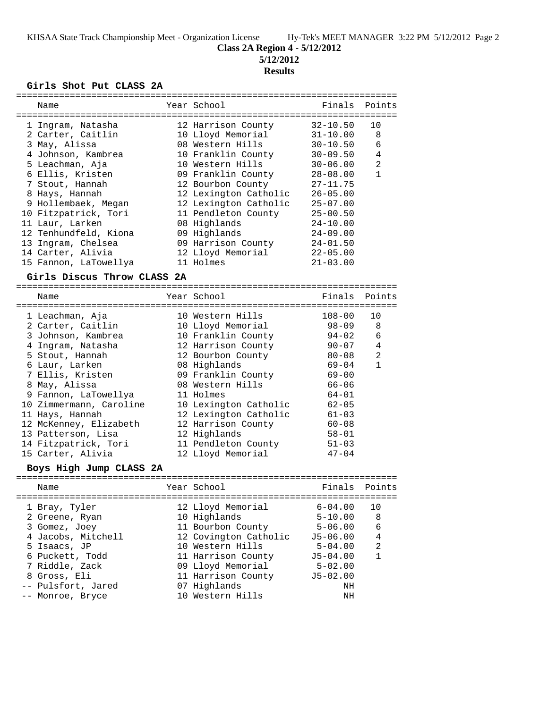**Class 2A Region 4 - 5/12/2012**

**5/12/2012**

# **Results**

## **Girls Shot Put CLASS 2A**

|  | Name                        |  | Year School           | Finals              | Points       |  |
|--|-----------------------------|--|-----------------------|---------------------|--------------|--|
|  |                             |  |                       |                     |              |  |
|  | 1 Ingram, Natasha           |  | 12 Harrison County    | $32 - 10.50$        | 10           |  |
|  | 2 Carter, Caitlin           |  | 10 Lloyd Memorial     | $31 - 10.00$        | 8            |  |
|  | 3 May, Alissa               |  | 08 Western Hills      | $30 - 10.50$        | 6            |  |
|  | 4 Johnson, Kambrea          |  | 10 Franklin County    | $30 - 09.50$        | 4            |  |
|  | 5 Leachman, Aja             |  | 10 Western Hills      | $30 - 06.00$        | 2            |  |
|  | 6 Ellis, Kristen            |  | 09 Franklin County    | $28 - 08.00$        | $\mathbf{1}$ |  |
|  | 7 Stout, Hannah             |  | 12 Bourbon County     | $27 - 11.75$        |              |  |
|  | 8 Hays, Hannah              |  | 12 Lexington Catholic | $26 - 05.00$        |              |  |
|  | 9 Hollembaek, Megan         |  | 12 Lexington Catholic | $25 - 07.00$        |              |  |
|  | 10 Fitzpatrick, Tori        |  | 11 Pendleton County   | $25 - 00.50$        |              |  |
|  | 11 Laur, Larken             |  | 08 Highlands          | $24 - 10.00$        |              |  |
|  | 12 Tenhundfeld, Kiona       |  | 09 Highlands          | $24 - 09.00$        |              |  |
|  | 13 Ingram, Chelsea          |  | 09 Harrison County    | $24 - 01.50$        |              |  |
|  | 14 Carter, Alivia           |  | 12 Lloyd Memorial     | $22 - 05.00$        |              |  |
|  | 15 Fannon, LaTowellya       |  | 11 Holmes             | $21 - 03.00$        |              |  |
|  |                             |  |                       |                     |              |  |
|  | Girls Discus Throw CLASS 2A |  |                       |                     |              |  |
|  |                             |  |                       |                     |              |  |
|  | Name                        |  | Year School           | Finals              | Points       |  |
|  |                             |  |                       |                     |              |  |
|  | 1 Leachman, Aja             |  | 10 Western Hills      | $108 - 00$          | 10           |  |
|  | 2 Carter, Caitlin           |  | 10 Lloyd Memorial     | 98-09               | 8            |  |
|  | 3 Johnson, Kambrea          |  | 10 Franklin County    | $94 - 02$           | 6            |  |
|  | 4 Ingram, Natasha           |  | 12 Harrison County    | $90 - 07$           | 4            |  |
|  | 5 Stout, Hannah             |  | 12 Bourbon County     | $80 - 08$           | 2            |  |
|  | 6 Laur, Larken              |  | 08 Highlands          | $69 - 04$           | $\mathbf{1}$ |  |
|  | 7 Ellis, Kristen            |  | 09 Franklin County    | $69 - 00$           |              |  |
|  | 8 May, Alissa               |  | 08 Western Hills      | $66 - 06$           |              |  |
|  | 9 Fannon, LaTowellya        |  | 11 Holmes             | 64-01               |              |  |
|  | 10 Zimmermann, Caroline     |  | 10 Lexington Catholic | $62 - 05$           |              |  |
|  | 11 Hays, Hannah             |  | 12 Lexington Catholic | $61 - 03$           |              |  |
|  | 12 McKenney, Elizabeth      |  | 12 Harrison County    | $60 - 08$           |              |  |
|  | 13 Patterson, Lisa          |  | 12 Highlands          | $58 - 01$           |              |  |
|  | 14 Fitzpatrick, Tori        |  | 11 Pendleton County   | $51 - 03$           |              |  |
|  | 15 Carter, Alivia           |  | 12 Lloyd Memorial     | $47 - 04$           |              |  |
|  | Boys High Jump CLASS 2A     |  |                       |                     |              |  |
|  |                             |  |                       | =================== |              |  |
|  | Name                        |  | Year School           | Finals              | Points       |  |
|  |                             |  |                       |                     |              |  |
|  | 1 Bray, Tyler               |  | 12 Lloyd Memorial     | $6 - 04.00$         | 10           |  |
|  | 2 Greene, Ryan              |  | 10 Highlands          | $5 - 10.00$         | 8            |  |
|  | 3 Gomez, Joey               |  | 11 Bourbon County     | $5 - 06.00$         | 6            |  |
|  | 4 Jacobs, Mitchell          |  | 12 Covington Catholic | $J5 - 06.00$        | 4            |  |
|  | 5 Isaacs, JP                |  | 10 Western Hills      | $5 - 04.00$         | 2            |  |
|  | 6 Puckett, Todd             |  | 11 Harrison County    | $J5 - 04.00$        | $\mathbf{1}$ |  |
|  | 7 Riddle, Zack              |  | 09 Lloyd Memorial     | $5 - 02.00$         |              |  |
|  | 8 Gross, Eli                |  | 11 Harrison County    | $J5 - 02.00$        |              |  |
|  | -- Pulsfort, Jared          |  | 07 Highlands          | NH                  |              |  |
|  | -- Monroe, Bryce            |  | 10 Western Hills      | NH                  |              |  |
|  |                             |  |                       |                     |              |  |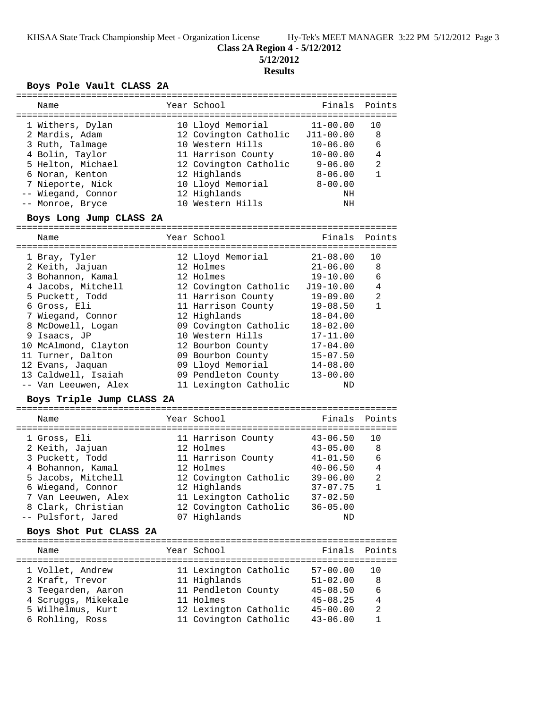**Class 2A Region 4 - 5/12/2012**

**5/12/2012**

## **Results**

#### **Boys Pole Vault CLASS 2A**

| Name                                                                                                                                                                                                                                                                                                                  | Year School                                                                                                                                                                                                                                                                                  |                                                                                                                                                                                                                 | Finals Points                          |
|-----------------------------------------------------------------------------------------------------------------------------------------------------------------------------------------------------------------------------------------------------------------------------------------------------------------------|----------------------------------------------------------------------------------------------------------------------------------------------------------------------------------------------------------------------------------------------------------------------------------------------|-----------------------------------------------------------------------------------------------------------------------------------------------------------------------------------------------------------------|----------------------------------------|
| 1 Withers, Dylan<br>2 Mardis, Adam<br>3 Ruth, Talmage<br>4 Bolin, Taylor<br>5 Helton, Michael<br>6 Noran, Kenton<br>7 Nieporte, Nick<br>-- Wiegand, Connor<br>-- Monroe, Bryce<br>Boys Long Jump CLASS 2A                                                                                                             | 10 Lloyd Memorial<br>12 Covington Catholic J11-00.00<br>10 Western Hills<br>11 Harrison County<br>12 Covington Catholic<br>12 Highlands<br>10 Lloyd Memorial<br>12 Highlands<br>10 Western Hills                                                                                             | $11 - 00.00$<br>$10 - 06.00$<br>$10 - 00.00$<br>$9 - 06.00$<br>8-06.00<br>$8 - 00.00$<br>NH<br>ΝH                                                                                                               | 10<br>8<br>6<br>4<br>2<br>1            |
| Name                                                                                                                                                                                                                                                                                                                  | Year School                                                                                                                                                                                                                                                                                  | Finals                                                                                                                                                                                                          | Points                                 |
| 1 Bray, Tyler<br>2 Keith, Jajuan<br>3 Bohannon, Kamal<br>4 Jacobs, Mitchell<br>5 Puckett, Todd<br>6 Gross, Eli<br>7 Wiegand, Connor<br>8 McDowell, Logan<br>9 Isaacs, JP<br>10 McAlmond, Clayton<br>11 Turner, Dalton<br>12 Evans, Jaquan<br>13 Caldwell, Isaiah<br>-- Van Leeuwen, Alex<br>Boys Triple Jump CLASS 2A | 12 Lloyd Memorial<br>12 Holmes<br>12 Holmes<br>12 Covington Catholic<br>11 Harrison County<br>11 Harrison County<br>12 Highlands<br>09 Covington Catholic<br>10 Western Hills<br>12 Bourbon County<br>09 Bourbon County<br>09 Lloyd Memorial<br>09 Pendleton County<br>11 Lexington Catholic | $21 - 08.00$<br>$21 - 06.00$<br>$19 - 10.00$<br>J19-10.00<br>$19 - 09.00$<br>$19 - 08.50$<br>$18 - 04.00$<br>$18 - 02.00$<br>$17 - 11.00$<br>$17 - 04.00$<br>$15 - 07.50$<br>$14 - 08.00$<br>$13 - 00.00$<br>ND | 10<br>8<br>6<br>4<br>2<br>1            |
| Name                                                                                                                                                                                                                                                                                                                  | Year School                                                                                                                                                                                                                                                                                  | Finals                                                                                                                                                                                                          | Points                                 |
| 1 Gross, Eli<br>2 Keith, Jajuan<br>3 Puckett, Todd<br>4 Bohannon, Kamal<br>5 Jacobs, Mitchell<br>6 Wiegand, Connor<br>7 Van Leeuwen, Alex<br>8 Clark, Christian<br>-- Pulsfort, Jared<br>Boys Shot Put CLASS 2A                                                                                                       | 11 Harrison County<br>12 Holmes<br>11 Harrison County<br>12 Holmes<br>12 Covington Catholic<br>12 Highlands<br>11 Lexington Catholic<br>12 Covington Catholic<br>07 Highlands                                                                                                                | $43 - 06.50$<br>$43 - 05.00$<br>$41 - 01.50$<br>$40 - 06.50$<br>$39 - 06.00$<br>$37 - 07.75$<br>$37 - 02.50$<br>$36 - 05.00$<br>ND                                                                              | 10<br>8<br>6<br>4<br>2<br>$\mathbf{1}$ |
| Name                                                                                                                                                                                                                                                                                                                  | Year School                                                                                                                                                                                                                                                                                  | Finals                                                                                                                                                                                                          | Points                                 |
| 1 Vollet, Andrew<br>2 Kraft, Trevor<br>3 Teegarden, Aaron<br>4 Scruggs, Mikekale<br>5 Wilhelmus, Kurt                                                                                                                                                                                                                 | 11 Lexington Catholic<br>11 Highlands<br>11 Pendleton County<br>11 Holmes<br>12 Lexington Catholic                                                                                                                                                                                           | 57-00.00<br>$51 - 02.00$<br>$45 - 08.50$<br>$45 - 08.25$<br>$45 - 00.00$                                                                                                                                        | 10<br>8<br>6<br>4<br>2                 |

6 Rohling, Ross 11 Covington Catholic 43-06.00 1